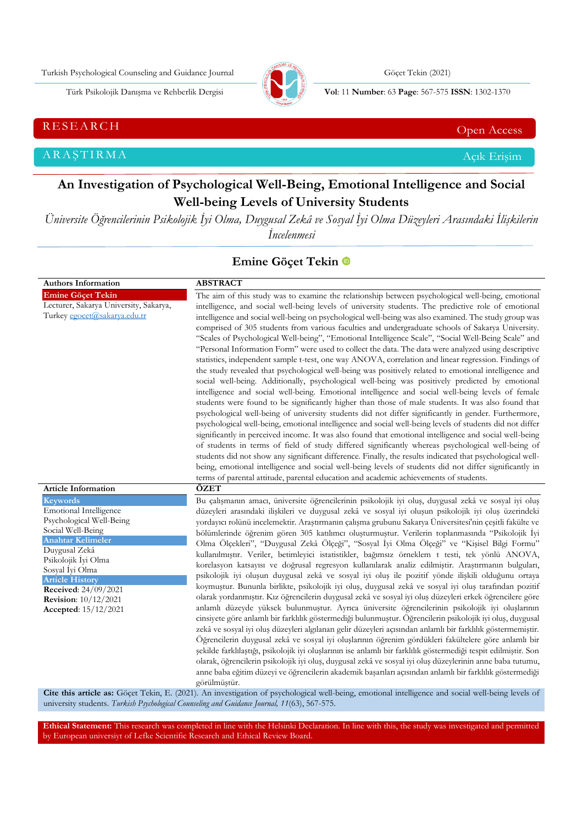Turkish Psychological Counseling and Guidance Journal Göçet Tekin (2021)



Türk Psikolojik Danışma ve Rehberlik Dergisi **Vol**: 11 **Number**: 63 **Page** : 567-575 **ISSN**: 1302-1370

RESEARCH CHE Open Access and the Contract of the Contract of the Contract of the Contract of the Contract of the Contract of the Contract of the Contract of the Contract of the Contract of the Contract of the Contract of t

ARAŞTIRMA Açık Erişim

# **An Investigation of Psychological Well-Being, Emotional Intelligence and Social Well-being Levels of University Students**

*Üniversite Öğrencilerinin Psikolojik İyi Olma, Duygusal Zekâ ve Sosyal İyi Olma Düzeyleri Arasındaki İlişkilerin İncelenmesi*

# **Emine Göçet Tekin**

| <b>Authors Information</b>                                                                                                                                                                                                                                                                               | <b>ABSTRACT</b>                                                                                                                                                                                                                                                                                                                                                                                                                                                                                                                                                                                                                                                                                                                                                                                                                                                                                                                                                                                                                                                                                                                                                                                                                                                                                                                                                                                                                                                                                                                                                                                                                                                                                                                                                                                                                                                                                                        |
|----------------------------------------------------------------------------------------------------------------------------------------------------------------------------------------------------------------------------------------------------------------------------------------------------------|------------------------------------------------------------------------------------------------------------------------------------------------------------------------------------------------------------------------------------------------------------------------------------------------------------------------------------------------------------------------------------------------------------------------------------------------------------------------------------------------------------------------------------------------------------------------------------------------------------------------------------------------------------------------------------------------------------------------------------------------------------------------------------------------------------------------------------------------------------------------------------------------------------------------------------------------------------------------------------------------------------------------------------------------------------------------------------------------------------------------------------------------------------------------------------------------------------------------------------------------------------------------------------------------------------------------------------------------------------------------------------------------------------------------------------------------------------------------------------------------------------------------------------------------------------------------------------------------------------------------------------------------------------------------------------------------------------------------------------------------------------------------------------------------------------------------------------------------------------------------------------------------------------------------|
| <b>Emine Göçet Tekin</b><br>Lecturer, Sakarya University, Sakarya,<br>Turkey egocet@sakarya.edu.tr                                                                                                                                                                                                       | The aim of this study was to examine the relationship between psychological well-being, emotional<br>intelligence, and social well-being levels of university students. The predictive role of emotional<br>intelligence and social well-being on psychological well-being was also examined. The study group was<br>comprised of 305 students from various faculties and undergraduate schools of Sakarya University.<br>"Scales of Psychological Well-being", "Emotional Intelligence Scale", "Social Well-Being Scale" and<br>"Personal Information Form" were used to collect the data. The data were analyzed using descriptive<br>statistics, independent sample t-test, one way ANOVA, correlation and linear regression. Findings of<br>the study revealed that psychological well-being was positively related to emotional intelligence and<br>social well-being. Additionally, psychological well-being was positively predicted by emotional<br>intelligence and social well-being. Emotional intelligence and social well-being levels of female<br>students were found to be significantly higher than those of male students. It was also found that<br>psychological well-being of university students did not differ significantly in gender. Furthermore,<br>psychological well-being, emotional intelligence and social well-being levels of students did not differ<br>significantly in perceived income. It was also found that emotional intelligence and social well-being<br>of students in terms of field of study differed significantly whereas psychological well-being of<br>students did not show any significant difference. Finally, the results indicated that psychological well-<br>being, emotional intelligence and social well-being levels of students did not differ significantly in<br>terms of parental attitude, parental education and academic achievements of students. |
| <b>Article Information</b>                                                                                                                                                                                                                                                                               | ÖZET                                                                                                                                                                                                                                                                                                                                                                                                                                                                                                                                                                                                                                                                                                                                                                                                                                                                                                                                                                                                                                                                                                                                                                                                                                                                                                                                                                                                                                                                                                                                                                                                                                                                                                                                                                                                                                                                                                                   |
| <b>Keywords</b><br><b>Emotional Intelligence</b><br>Psychological Well-Being<br>Social Well-Being<br><b>Anahtar Kelimeler</b><br>Duygusal Zekâ<br>Psikolojik Iyi Olma<br>Sosyal İyi Olma<br><b>Article History</b><br>Received: 24/09/2021<br><b>Revision:</b> 10/12/2021<br><b>Accepted:</b> 15/12/2021 | Bu çalışmanın amacı, üniversite öğrencilerinin psikolojik iyi oluş, duygusal zekâ ve sosyal iyi oluş<br>düzeyleri arasındaki ilişkileri ve duygusal zekâ ve sosyal iyi oluşun psikolojik iyi oluş üzerindeki<br>yordayıcı rolünü incelemektir. Araştırmanın çalışma grubunu Sakarya Üniversitesi'nin çeşitli fakülte ve<br>bölümlerinde öğrenim gören 305 katılımcı oluşturmuştur. Verilerin toplanmasında "Psikolojik İyi<br>Olma Ölçekleri", "Duygusal Zekâ Ölçeği", "Sosyal İyi Olma Ölçeği" ve "Kişisel Bilgi Formu"<br>kullanılmıştır. Veriler, betimleyici istatistikler, bağımsız örneklem t testi, tek yönlü ANOVA,<br>korelasyon katsayısı ve doğrusal regresyon kullanılarak analiz edilmiştir. Araştırmanın bulguları,<br>psikolojik iyi oluşun duygusal zekâ ve sosyal iyi oluş ile pozitif yönde ilişkili olduğunu ortaya<br>koymuştur. Bununla birlikte, psikolojik iyi oluş, duygusal zekâ ve sosyal iyi oluş tarafından pozitif<br>olarak yordanmıştır. Kız öğrencilerin duygusal zekâ ve sosyal iyi oluş düzeyleri erkek öğrencilere göre<br>anlamlı düzeyde yüksek bulunmuştur. Ayrıca üniversite öğrencilerinin psikolojik iyi oluşlarının<br>cinsiyete göre anlamlı bir farklılık göstermediği bulunmuştur. Öğrencilerin psikolojik iyi oluş, duygusal<br>zekâ ve sosyal iyi oluş düzeyleri algılanan gelir düzeyleri açısından anlamlı bir farklılık göstermemiştir.<br>Öğrencilerin duygusal zekâ ve sosyal iyi oluşlarının öğrenim gördükleri fakültelere göre anlamlı bir<br>şekilde farklılaştığı, psikolojik iyi oluşlarının ise anlamlı bir farklılık göstermediği tespit edilmiştir. Son<br>olarak, öğrencilerin psikolojik iyi oluş, duygusal zekâ ve sosyal iyi oluş düzeylerinin anne baba tutumu,<br>anne baba eğitim düzeyi ve öğrencilerin akademik başarıları açısından anlamlı bir farklılık göstermediği<br>görülmüştür.                                                          |

**Cite this article as:** Göçet Tekin, E. (2021). An investigation of psychological well-being, emotional intelligence and social well-being levels of university students*. Turkish Psychological Counseling and Guidance Journal, 11*(63), 567-575.

**Ethical Statement:** This research was completed in line with the Helsinki Declaration. In line with this, the study was investigated and permitted by European universiyt of Lefke Scientific Research and Ethical Review Board.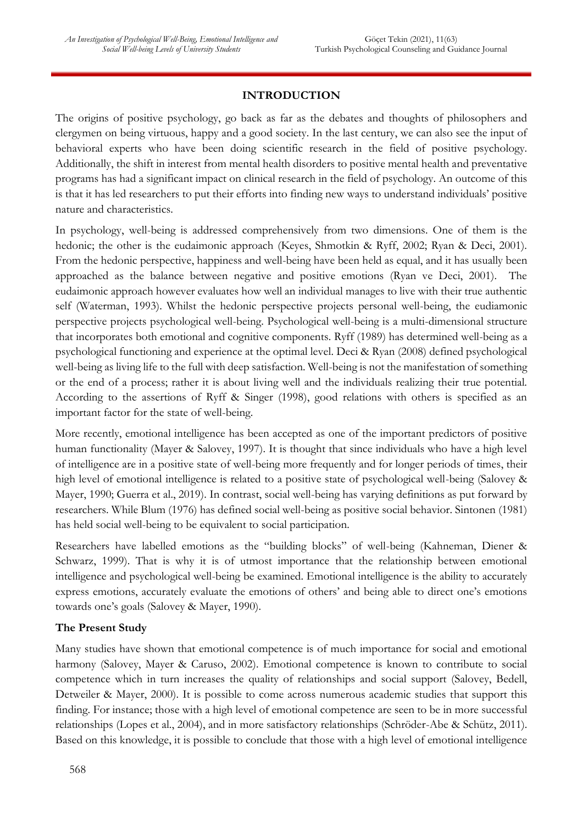# **INTRODUCTION**

The origins of positive psychology, go back as far as the debates and thoughts of philosophers and clergymen on being virtuous, happy and a good society. In the last century, we can also see the input of behavioral experts who have been doing scientific research in the field of positive psychology. Additionally, the shift in interest from mental health disorders to positive mental health and preventative programs has had a significant impact on clinical research in the field of psychology. An outcome of this is that it has led researchers to put their efforts into finding new ways to understand individuals' positive nature and characteristics.

In psychology, well-being is addressed comprehensively from two dimensions. One of them is the hedonic; the other is the eudaimonic approach (Keyes, Shmotkin & Ryff, 2002; Ryan & Deci, 2001). From the hedonic perspective, happiness and well-being have been held as equal, and it has usually been approached as the balance between negative and positive emotions (Ryan ve Deci, 2001). The eudaimonic approach however evaluates how well an individual manages to live with their true authentic self (Waterman, 1993). Whilst the hedonic perspective projects personal well-being, the eudiamonic perspective projects psychological well-being. Psychological well-being is a multi-dimensional structure that incorporates both emotional and cognitive components. Ryff (1989) has determined well-being as a psychological functioning and experience at the optimal level. Deci & Ryan (2008) defined psychological well-being as living life to the full with deep satisfaction. Well-being is not the manifestation of something or the end of a process; rather it is about living well and the individuals realizing their true potential. According to the assertions of Ryff & Singer (1998), good relations with others is specified as an important factor for the state of well-being.

More recently, emotional intelligence has been accepted as one of the important predictors of positive human functionality (Mayer & Salovey, 1997). It is thought that since individuals who have a high level of intelligence are in a positive state of well-being more frequently and for longer periods of times, their high level of emotional intelligence is related to a positive state of psychological well-being (Salovey & Mayer, 1990; Guerra et al., 2019). In contrast, social well-being has varying definitions as put forward by researchers. While Blum (1976) has defined social well-being as positive social behavior. Sintonen (1981) has held social well-being to be equivalent to social participation.

Researchers have labelled emotions as the "building blocks" of well-being (Kahneman, Diener & Schwarz, 1999). That is why it is of utmost importance that the relationship between emotional intelligence and psychological well-being be examined. Emotional intelligence is the ability to accurately express emotions, accurately evaluate the emotions of others' and being able to direct one's emotions towards one's goals (Salovey & Mayer, 1990).

#### **The Present Study**

Many studies have shown that emotional competence is of much importance for social and emotional harmony (Salovey, Mayer & Caruso, 2002). Emotional competence is known to contribute to social competence which in turn increases the quality of relationships and social support (Salovey, Bedell, Detweiler & Mayer, 2000). It is possible to come across numerous academic studies that support this finding. For instance; those with a high level of emotional competence are seen to be in more successful relationships (Lopes et al., 2004), and in more satisfactory relationships (Schröder-Abe & Schütz, 2011). Based on this knowledge, it is possible to conclude that those with a high level of emotional intelligence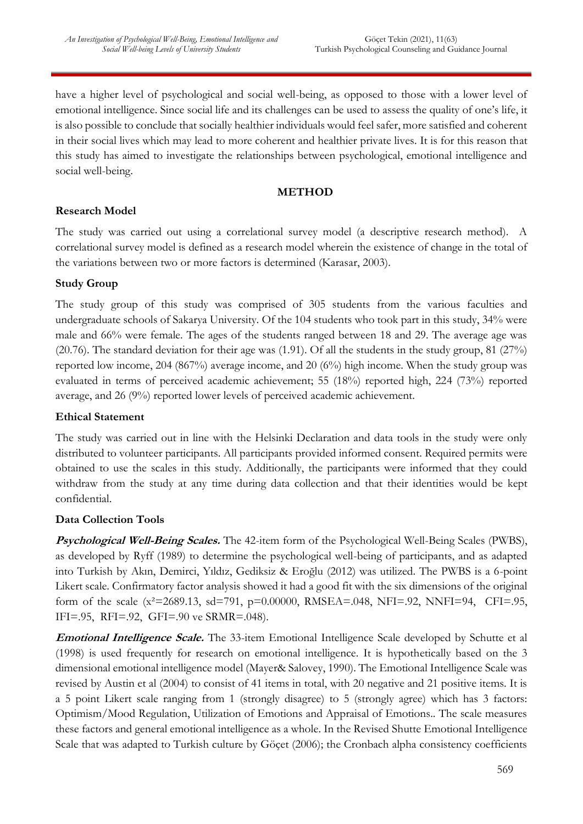have a higher level of psychological and social well-being, as opposed to those with a lower level of emotional intelligence. Since social life and its challenges can be used to assess the quality of one's life, it is also possible to conclude that socially healthier individuals would feel safer, more satisfied and coherent in their social lives which may lead to more coherent and healthier private lives. It is for this reason that this study has aimed to investigate the relationships between psychological, emotional intelligence and social well-being.

### **METHOD**

#### **Research Model**

The study was carried out using a correlational survey model (a descriptive research method). A correlational survey model is defined as a research model wherein the existence of change in the total of the variations between two or more factors is determined (Karasar, 2003).

#### **Study Group**

The study group of this study was comprised of 305 students from the various faculties and undergraduate schools of Sakarya University. Of the 104 students who took part in this study, 34% were male and 66% were female. The ages of the students ranged between 18 and 29. The average age was (20.76). The standard deviation for their age was (1.91). Of all the students in the study group, 81 (27%) reported low income, 204 (867%) average income, and 20 (6%) high income. When the study group was evaluated in terms of perceived academic achievement; 55 (18%) reported high, 224 (73%) reported average, and 26 (9%) reported lower levels of perceived academic achievement.

#### **Ethical Statement**

The study was carried out in line with the Helsinki Declaration and data tools in the study were only distributed to volunteer participants. All participants provided informed consent. Required permits were obtained to use the scales in this study. Additionally, the participants were informed that they could withdraw from the study at any time during data collection and that their identities would be kept confidential.

#### **Data Collection Tools**

**Psychological Well-Being Scales.** The 42-item form of the Psychological Well-Being Scales (PWBS), as developed by Ryff (1989) to determine the psychological well-being of participants, and as adapted into Turkish by Akın, Demirci, Yıldız, Gediksiz & Eroğlu (2012) was utilized. The PWBS is a 6-point Likert scale. Confirmatory factor analysis showed it had a good fit with the six dimensions of the original form of the scale (x<sup>2</sup>=2689.13, sd=791, p=0.00000, RMSEA=.048, NFI=.92, NNFI=94, CFI=.95, IFI=.95, RFI=.92, GFI=.90 ve SRMR=.048).

**Emotional Intelligence Scale.** The 33-item Emotional Intelligence Scale developed by Schutte et al (1998) is used frequently for research on emotional intelligence. It is hypothetically based on the 3 dimensional emotional intelligence model (Mayer& Salovey, 1990). The Emotional Intelligence Scale was revised by Austin et al (2004) to consist of 41 items in total, with 20 negative and 21 positive items. It is a 5 point Likert scale ranging from 1 (strongly disagree) to 5 (strongly agree) which has 3 factors: Optimism/Mood Regulation, Utilization of Emotions and Appraisal of Emotions.. The scale measures these factors and general emotional intelligence as a whole. In the Revised Shutte Emotional Intelligence Scale that was adapted to Turkish culture by Göçet (2006); the Cronbach alpha consistency coefficients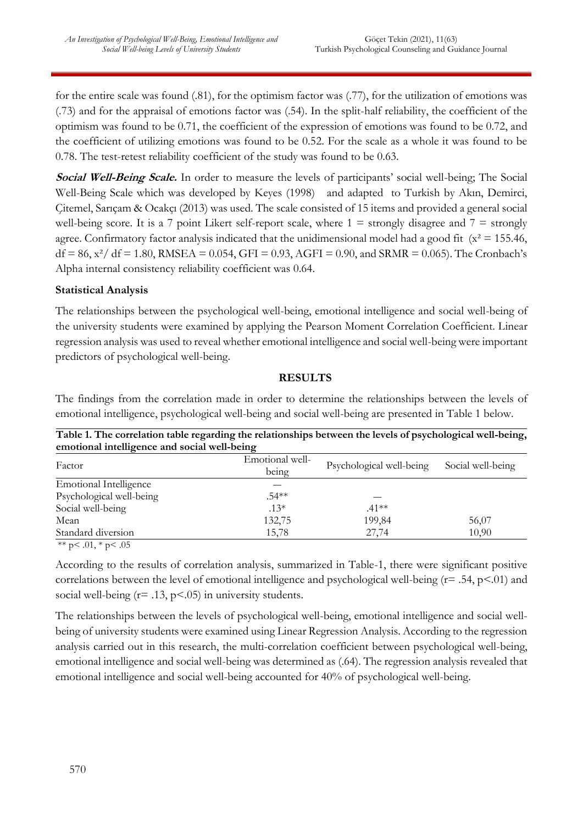for the entire scale was found (.81), for the optimism factor was (.77), for the utilization of emotions was (.73) and for the appraisal of emotions factor was (.54). In the split-half reliability, the coefficient of the optimism was found to be 0.71, the coefficient of the expression of emotions was found to be 0.72, and the coefficient of utilizing emotions was found to be 0.52. For the scale as a whole it was found to be 0.78. The test-retest reliability coefficient of the study was found to be 0.63.

**Social Well-Being Scale.** In order to measure the levels of participants' social well-being; The Social Well-Being Scale which was developed by Keyes (1998) and adapted to Turkish by Akın, Demirci, Çitemel, Sarıçam & Ocakçı (2013) was used. The scale consisted of 15 items and provided a general social well-being score. It is a 7 point Likert self-report scale, where  $1 =$  strongly disagree and  $7 =$  strongly agree. Confirmatory factor analysis indicated that the unidimensional model had a good fit ( $x^2 = 155.46$ ,  $df = 86$ ,  $x^2/df = 1.80$ , RMSEA = 0.054, GFI = 0.93, AGFI = 0.90, and SRMR = 0.065). The Cronbach's Alpha internal consistency reliability coefficient was 0.64.

#### **Statistical Analysis**

The relationships between the psychological well-being, emotional intelligence and social well-being of the university students were examined by applying the Pearson Moment Correlation Coefficient. Linear regression analysis was used to reveal whether emotional intelligence and social well-being were important predictors of psychological well-being.

#### **RESULTS**

The findings from the correlation made in order to determine the relationships between the levels of emotional intelligence, psychological well-being and social well-being are presented in Table 1 below.

| emotional intelligence and social well-being |                 |                          |                   |  |  |  |
|----------------------------------------------|-----------------|--------------------------|-------------------|--|--|--|
| Factor                                       | Emotional well- | Psychological well-being | Social well-being |  |  |  |
|                                              | being           |                          |                   |  |  |  |
| <b>Emotional Intelligence</b>                |                 |                          |                   |  |  |  |
| Psychological well-being                     | $.54**$         |                          |                   |  |  |  |
| Social well-being                            | $.13*$          | $.41**$                  |                   |  |  |  |
| Mean                                         | 132,75          | 199,84                   | 56,07             |  |  |  |
| Standard diversion                           | 15,78           | 27,74                    | 10,90             |  |  |  |
| ** $p < .01$ , * $p < .05$                   |                 |                          |                   |  |  |  |

**Table 1. The correlation table regarding the relationships between the levels of psychological well-being,** 

According to the results of correlation analysis, summarized in Table-1, there were significant positive correlations between the level of emotional intelligence and psychological well-being  $(r= .54, p< .01)$  and social well-being  $(r= .13, p< .05)$  in university students.

The relationships between the levels of psychological well-being, emotional intelligence and social wellbeing of university students were examined using Linear Regression Analysis. According to the regression analysis carried out in this research, the multi-correlation coefficient between psychological well-being, emotional intelligence and social well-being was determined as (.64). The regression analysis revealed that emotional intelligence and social well-being accounted for 40% of psychological well-being.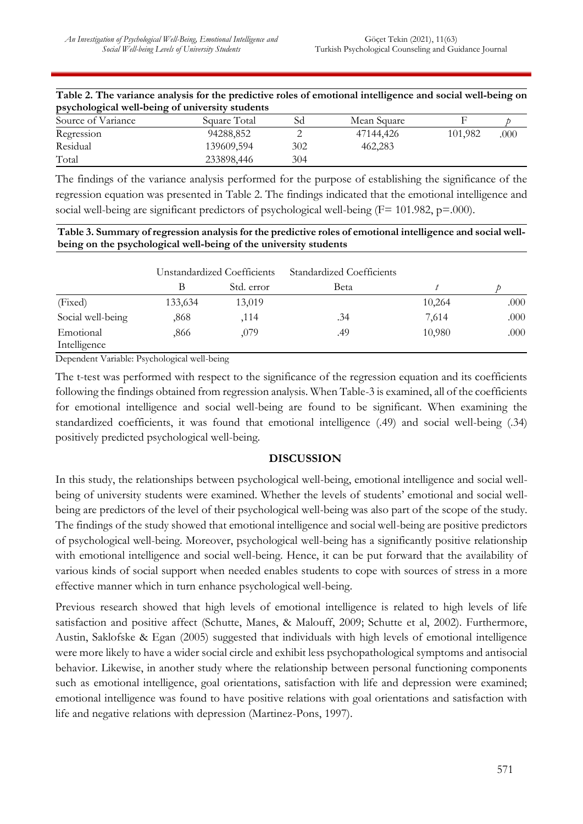Total 233898,446 304

| Table 2. The variance analysis for the predictive roles of emotional intelligence and social well-being on |              |    |             |         |      |  |
|------------------------------------------------------------------------------------------------------------|--------------|----|-------------|---------|------|--|
| psychological well-being of university students                                                            |              |    |             |         |      |  |
| Source of Variance                                                                                         | Square Total | Sd | Mean Square |         |      |  |
| Regression                                                                                                 | 94288.852    |    | 47144.426   | 101.982 | .000 |  |

Residual 139609.594 302 462.283

| The findings of the variance analysis performed for the purpose of establishing the significance of the  |
|----------------------------------------------------------------------------------------------------------|
| regression equation was presented in Table 2. The findings indicated that the emotional intelligence and |
| social well-being are significant predictors of psychological well-being $(F = 101.982, p = .000)$ .     |

| Table 3. Summary of regression analysis for the predictive roles of emotional intelligence and social well- |
|-------------------------------------------------------------------------------------------------------------|
| being on the psychological well-being of the university students                                            |

|                           | Unstandardized Coefficients |            | Standardized Coefficients |        |      |
|---------------------------|-----------------------------|------------|---------------------------|--------|------|
|                           |                             | Std. error | Beta                      |        |      |
| (Fixed)                   | 133,634                     | 13,019     |                           | 10,264 | .000 |
| Social well-being         | .868                        | .114       | .34                       | 7,614  | .000 |
| Emotional<br>Intelligence | .866                        | ,079       | .49                       | 10,980 | .000 |

Dependent Variable: Psychological well-being

The t-test was performed with respect to the significance of the regression equation and its coefficients following the findings obtained from regression analysis. When Table-3 is examined, all of the coefficients for emotional intelligence and social well-being are found to be significant. When examining the standardized coefficients, it was found that emotional intelligence (.49) and social well-being (.34) positively predicted psychological well-being.

#### **DISCUSSION**

In this study, the relationships between psychological well-being, emotional intelligence and social wellbeing of university students were examined. Whether the levels of students' emotional and social wellbeing are predictors of the level of their psychological well-being was also part of the scope of the study. The findings of the study showed that emotional intelligence and social well-being are positive predictors of psychological well-being. Moreover, psychological well-being has a significantly positive relationship with emotional intelligence and social well-being. Hence, it can be put forward that the availability of various kinds of social support when needed enables students to cope with sources of stress in a more effective manner which in turn enhance psychological well-being.

Previous research showed that high levels of emotional intelligence is related to high levels of life satisfaction and positive affect (Schutte, Manes, & Malouff, 2009; Schutte et al, 2002). Furthermore, Austin, Saklofske & Egan (2005) suggested that individuals with high levels of emotional intelligence were more likely to have a wider social circle and exhibit less psychopathological symptoms and antisocial behavior. Likewise, in another study where the relationship between personal functioning components such as emotional intelligence, goal orientations, satisfaction with life and depression were examined; emotional intelligence was found to have positive relations with goal orientations and satisfaction with life and negative relations with depression (Martinez-Pons, 1997).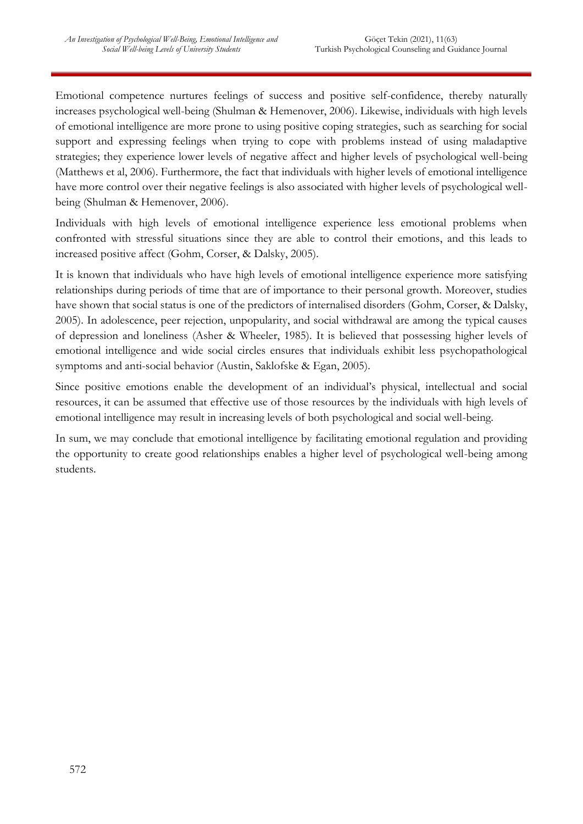Emotional competence nurtures feelings of success and positive self-confidence, thereby naturally increases psychological well-being (Shulman & Hemenover, 2006). Likewise, individuals with high levels of emotional intelligence are more prone to using positive coping strategies, such as searching for social support and expressing feelings when trying to cope with problems instead of using maladaptive strategies; they experience lower levels of negative affect and higher levels of psychological well-being (Matthews et al, 2006). Furthermore, the fact that individuals with higher levels of emotional intelligence have more control over their negative feelings is also associated with higher levels of psychological wellbeing (Shulman & Hemenover, 2006).

Individuals with high levels of emotional intelligence experience less emotional problems when confronted with stressful situations since they are able to control their emotions, and this leads to increased positive affect (Gohm, Corser, & Dalsky, 2005).

It is known that individuals who have high levels of emotional intelligence experience more satisfying relationships during periods of time that are of importance to their personal growth. Moreover, studies have shown that social status is one of the predictors of internalised disorders (Gohm, Corser, & Dalsky, 2005). In adolescence, peer rejection, unpopularity, and social withdrawal are among the typical causes of depression and loneliness (Asher & Wheeler, 1985). It is believed that possessing higher levels of emotional intelligence and wide social circles ensures that individuals exhibit less psychopathological symptoms and anti-social behavior (Austin, Saklofske & Egan, 2005).

Since positive emotions enable the development of an individual's physical, intellectual and social resources, it can be assumed that effective use of those resources by the individuals with high levels of emotional intelligence may result in increasing levels of both psychological and social well-being.

In sum, we may conclude that emotional intelligence by facilitating emotional regulation and providing the opportunity to create good relationships enables a higher level of psychological well-being among students.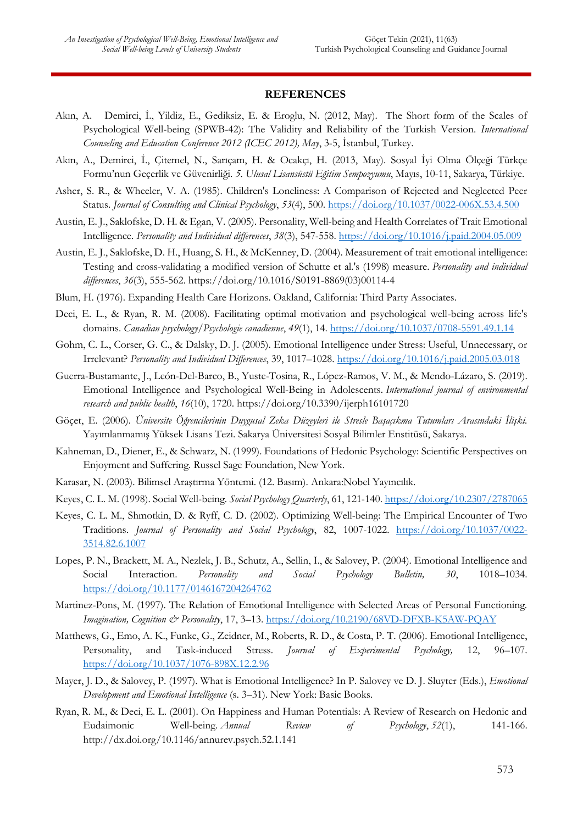#### **REFERENCES**

- Akın, A. Demirci, İ., Yildiz, E., Gediksiz, E. & Eroglu, N. (2012, May). The Short form of the Scales of Psychological Well-being (SPWB-42): The Validity and Reliability of the Turkish Version. *International Counseling and Education Conference 2012 (ICEC 2012), May*, 3-5, İstanbul, Turkey.
- Akın, A., Demirci, İ., Çitemel, N., Sarıçam, H. & Ocakçı, H. (2013, May). Sosyal İyi Olma Ölçeği Türkçe Formu'nun Geçerlik ve Güvenirliği. *5. Ulusal Lisansüstü Eğitim Sempozyumu*, Mayıs, 10-11, Sakarya, Türkiye.
- Asher, S. R., & Wheeler, V. A. (1985). Children's Loneliness: A Comparison of Rejected and Neglected Peer Status. *Journal of Consulting and Clinical Psychology*, *53*(4), 500. [https://doi.org/10.1037/0022-006X.53.4.500](https://psycnet.apa.org/doi/10.1037/0022-006X.53.4.500)
- Austin, E. J., Saklofske, D. H. & Egan, V. (2005). Personality, Well-being and Health Correlates of Trait Emotional Intelligence. *Personality and Individual differences*, *38*(3), 547-558. [https://doi.org/10.1016/j.paid.2004.05.009](https://psycnet.apa.org/doi/10.1016/j.paid.2004.05.009)
- Austin, E. J., Saklofske, D. H., Huang, S. H., & McKenney, D. (2004). Measurement of trait emotional intelligence: Testing and cross-validating a modified version of Schutte et al.'s (1998) measure. *Personality and individual differences*, *36*(3), 555-562. https://doi.org/10.1016/S0191-8869(03)00114-4
- Blum, H. (1976). Expanding Health Care Horizons. Oakland, California: Third Party Associates.
- Deci, E. L., & Ryan, R. M. (2008). Facilitating optimal motivation and psychological well-being across life's domains. *Canadian psychology/Psychologie canadienne*, *49*(1), 14. [https://doi.org/10.1037/0708-5591.49.1.14](https://psycnet.apa.org/doi/10.1037/0708-5591.49.1.14)
- Gohm, C. L., Corser, G. C., & Dalsky, D. J. (2005). Emotional Intelligence under Stress: Useful, Unnecessary, or Irrelevant? *Personality and Individual Differences*, 39, 1017–1028. [https://doi.org/10.1016/j.paid.2005.03.018](https://psycnet.apa.org/doi/10.1016/j.paid.2005.03.018)
- Guerra-Bustamante, J., León-Del-Barco, B., Yuste-Tosina, R., López-Ramos, V. M., & Mendo-Lázaro, S. (2019). Emotional Intelligence and Psychological Well-Being in Adolescents. *International journal of environmental research and public health*, *16*(10), 1720. https://doi.org/10.3390/ijerph16101720
- Göçet, E. (2006). *Üniversite Öğrencilerinin Duygusal Zeka Düzeyleri ile Stresle Başaçıkma Tutumları Arasındaki İlişki.*  Yayımlanmamış Yüksek Lisans Tezi. Sakarya Üniversitesi Sosyal Bilimler Enstitüsü, Sakarya.
- Kahneman, D., Diener, E., & Schwarz, N. (1999). Foundations of Hedonic Psychology: Scientific Perspectives on Enjoyment and Suffering. Russel Sage Foundation, New York.
- Karasar, N. (2003). Bilimsel Araştırma Yöntemi. (12. Basım). Ankara:Nobel Yayıncılık.
- Keyes, C. L. M. (1998). Social Well-being. *Social Psychology Quarterly*, 61, 121-140. [https://doi.org/10.2307/2787065](https://psycnet.apa.org/doi/10.2307/2787065)
- Keyes, C. L. M., Shmotkin, D. & Ryff, C. D. (2002). Optimizing Well-being: The Empirical Encounter of Two Traditions. *Journal of Personality and Social Psychology*, 82, 1007-1022. [https://doi.org/10.1037/0022-](https://psycnet.apa.org/doi/10.1037/0022-3514.82.6.1007) [3514.82.6.1007](https://psycnet.apa.org/doi/10.1037/0022-3514.82.6.1007)
- Lopes, P. N., Brackett, M. A., Nezlek, J. B., Schutz, A., Sellin, I., & Salovey, P. (2004). Emotional Intelligence and Social Interaction. *Personality and Social Psychology Bulletin, 30*, 1018–1034. [https://doi.org/10.1177/0146167204264762](https://doi.org/10.1177%2F0146167204264762)
- Martinez-Pons, M. (1997). The Relation of Emotional Intelligence with Selected Areas of Personal Functioning. *Imagination, Cognition & Personality*, 17, 3–13. [https://doi.org/10.2190/68VD-DFXB-K5AW-PQAY](https://psycnet.apa.org/doi/10.2190/68VD-DFXB-K5AW-PQAY)
- Matthews, G., Emo, A. K., Funke, G., Zeidner, M., Roberts, R. D., & Costa, P. T. (2006). Emotional Intelligence, Personality, and Task-induced Stress. *Journal of Experimental Psychology,* 12, 96–107. [https://doi.org/10.1037/1076-898X.12.2.96](https://psycnet.apa.org/doi/10.1037/1076-898X.12.2.96)
- Mayer, J. D., & Salovey, P. (1997). What is Emotional Intelligence? In P. Salovey ve D. J. Sluyter (Eds.), *Emotional Development and Emotional Intelligence* (s. 3–31). New York: Basic Books.
- Ryan, R. M., & Deci, E. L. (2001). On Happiness and Human Potentials: A Review of Research on Hedonic and Eudaimonic Well-being. *Annual Review of Psychology*, *52*(1), 141-166. http://dx.doi.org/10.1146/annurev.psych.52.1.141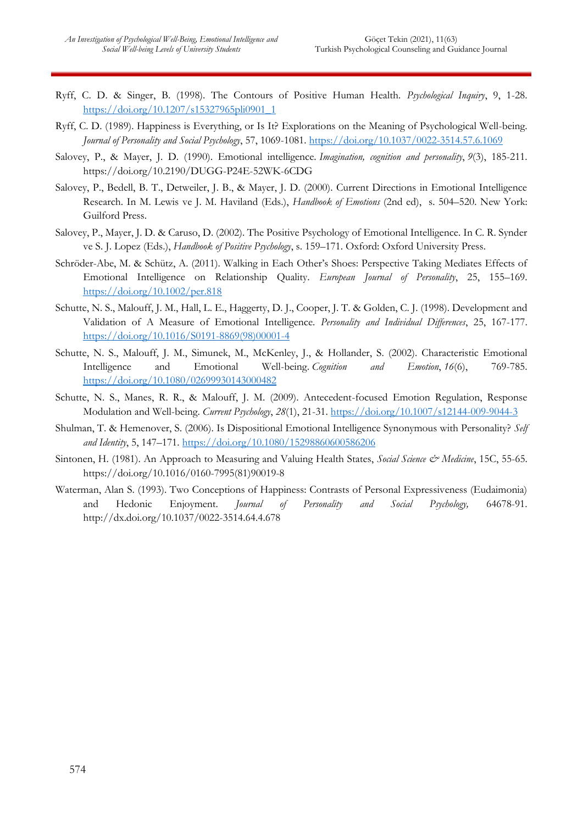- Ryff, C. D. & Singer, B. (1998). The Contours of Positive Human Health. *Psychological Inquiry*, 9, 1-28. [https://doi.org/10.1207/s15327965pli0901\\_1](https://psycnet.apa.org/doi/10.1207/s15327965pli0901_1)
- Ryff, C. D. (1989). Happiness is Everything, or Is It? Explorations on the Meaning of Psychological Well-being. *Journal of Personality and Social Psychology*, 57, 1069-1081. [https://doi.org/10.1037/0022-3514.57.6.1069](https://psycnet.apa.org/doi/10.1037/0022-3514.57.6.1069)
- Salovey, P., & Mayer, J. D. (1990). Emotional intelligence. *Imagination, cognition and personality*, *9*(3), 185-211. https://doi.org/10.2190/DUGG-P24E-52WK-6CDG
- Salovey, P., Bedell, B. T., Detweiler, J. B., & Mayer, J. D. (2000). Current Directions in Emotional Intelligence Research. In M. Lewis ve J. M. Haviland (Eds.), *Handbook of Emotions* (2nd ed), s. 504–520. New York: Guilford Press.
- Salovey, P., Mayer, J. D. & Caruso, D. (2002). The Positive Psychology of Emotional Intelligence. In C. R. Synder ve S. J. Lopez (Eds.), *Handbook of Positive Psychology*, s. 159–171. Oxford: Oxford University Press.
- Schröder-Abe, M. & Schütz, A. (2011). Walking in Each Other's Shoes: Perspective Taking Mediates Effects of Emotional Intelligence on Relationship Quality. *European Journal of Personality*, 25, 155–169. [https://doi.org/10.1002/per.818](https://psycnet.apa.org/doi/10.1002/per.818)
- Schutte, N. S., Malouff, J. M., Hall, L. E., Haggerty, D. J., Cooper, J. T. & Golden, C. J. (1998). Development and Validation of A Measure of Emotional Intelligence. *Personality and Individual Differences*, 25, 167-177. [https://doi.org/10.1016/S0191-8869\(98\)00001-4](https://psycnet.apa.org/doi/10.1016/S0191-8869(98)00001-4)
- Schutte, N. S., Malouff, J. M., Simunek, M., McKenley, J., & Hollander, S. (2002). Characteristic Emotional Intelligence and Emotional Well-being. *Cognition and Emotion*, *16*(6), 769-785. [https://doi.org/10.1080/02699930143000482](https://psycnet.apa.org/doi/10.1080/02699930143000482)
- Schutte, N. S., Manes, R. R., & Malouff, J. M. (2009). Antecedent-focused Emotion Regulation, Response Modulation and Well-being. *Current Psychology*, *28*(1), 21-31[. https://doi.org/10.1007/s12144-009-9044-3](https://psycnet.apa.org/doi/10.1007/s12144-009-9044-3)
- Shulman, T. & Hemenover, S. (2006). Is Dispositional Emotional Intelligence Synonymous with Personality? *Self and Identity*, 5, 147–171.<https://doi.org/10.1080/15298860600586206>
- Sintonen, H. (1981). An Approach to Measuring and Valuing Health States, *Social Science & Medicine*, 15C, 55-65. https://doi.org/10.1016/0160-7995(81)90019-8
- Waterman, Alan S. (1993). Two Conceptions of Happiness: Contrasts of Personal Expressiveness (Eudaimonia) and Hedonic Enjoyment. *Journal of Personality and Social Psychology,* 64678-91. http://dx.doi.org/10.1037/0022-3514.64.4.678